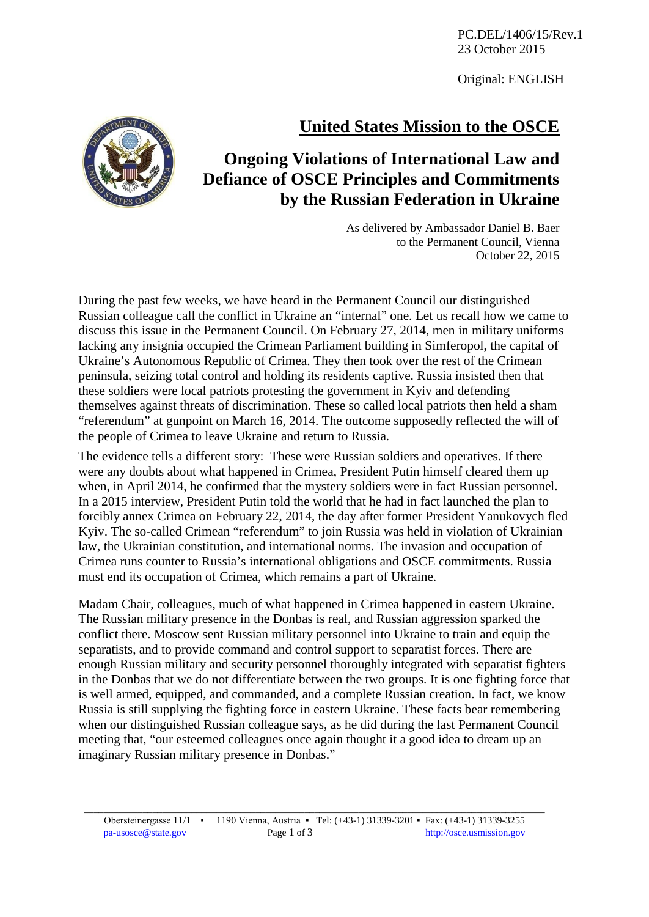PC.DEL/1406/15/Rev.1 23 October 2015

Original: ENGLISH

## **United States Mission to the OSCE**



## **Ongoing Violations of International Law and Defiance of OSCE Principles and Commitments by the Russian Federation in Ukraine**

As delivered by Ambassador Daniel B. Baer to the Permanent Council, Vienna October 22, 2015

During the past few weeks, we have heard in the Permanent Council our distinguished Russian colleague call the conflict in Ukraine an "internal" one. Let us recall how we came to discuss this issue in the Permanent Council. On February 27, 2014, men in military uniforms lacking any insignia occupied the Crimean Parliament building in Simferopol, the capital of Ukraine's Autonomous Republic of Crimea. They then took over the rest of the Crimean peninsula, seizing total control and holding its residents captive. Russia insisted then that these soldiers were local patriots protesting the government in Kyiv and defending themselves against threats of discrimination. These so called local patriots then held a sham "referendum" at gunpoint on March 16, 2014. The outcome supposedly reflected the will of the people of Crimea to leave Ukraine and return to Russia.

The evidence tells a different story: These were Russian soldiers and operatives. If there were any doubts about what happened in Crimea, President Putin himself cleared them up when, in April 2014, he confirmed that the mystery soldiers were in fact Russian personnel. In a 2015 interview, President Putin told the world that he had in fact launched the plan to forcibly annex Crimea on February 22, 2014, the day after former President Yanukovych fled Kyiv. The so-called Crimean "referendum" to join Russia was held in violation of Ukrainian law, the Ukrainian constitution, and international norms. The invasion and occupation of Crimea runs counter to Russia's international obligations and OSCE commitments. Russia must end its occupation of Crimea, which remains a part of Ukraine.

Madam Chair, colleagues, much of what happened in Crimea happened in eastern Ukraine. The Russian military presence in the Donbas is real, and Russian aggression sparked the conflict there. Moscow sent Russian military personnel into Ukraine to train and equip the separatists, and to provide command and control support to separatist forces. There are enough Russian military and security personnel thoroughly integrated with separatist fighters in the Donbas that we do not differentiate between the two groups. It is one fighting force that is well armed, equipped, and commanded, and a complete Russian creation. In fact, we know Russia is still supplying the fighting force in eastern Ukraine. These facts bear remembering when our distinguished Russian colleague says, as he did during the last Permanent Council meeting that, "our esteemed colleagues once again thought it a good idea to dream up an imaginary Russian military presence in Donbas."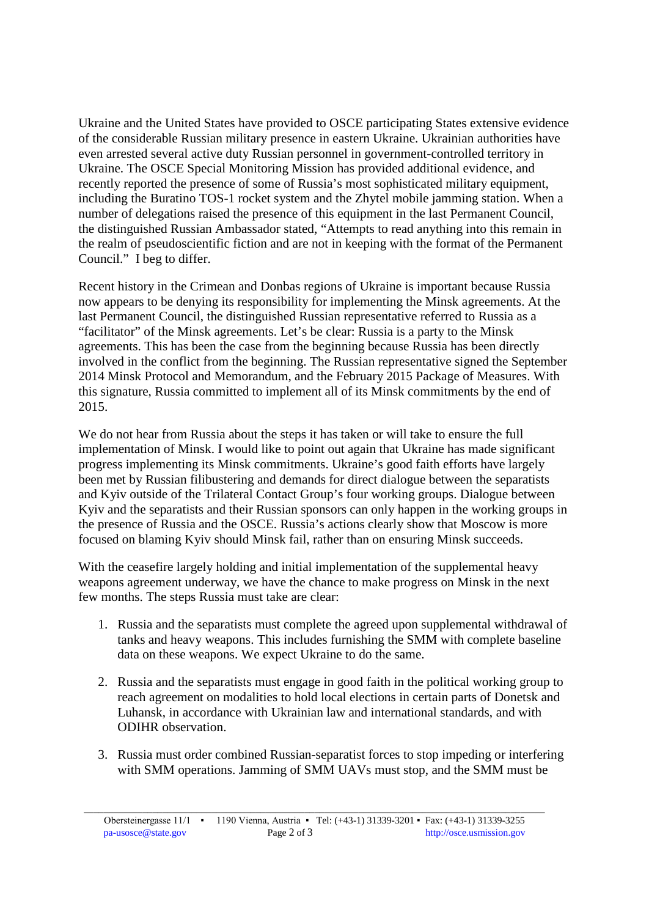Ukraine and the United States have provided to OSCE participating States extensive evidence of the considerable Russian military presence in eastern Ukraine. Ukrainian authorities have even arrested several active duty Russian personnel in government-controlled territory in Ukraine. The OSCE Special Monitoring Mission has provided additional evidence, and recently reported the presence of some of Russia's most sophisticated military equipment, including the Buratino TOS-1 rocket system and the Zhytel mobile jamming station. When a number of delegations raised the presence of this equipment in the last Permanent Council, the distinguished Russian Ambassador stated, "Attempts to read anything into this remain in the realm of pseudoscientific fiction and are not in keeping with the format of the Permanent Council." I beg to differ.

Recent history in the Crimean and Donbas regions of Ukraine is important because Russia now appears to be denying its responsibility for implementing the Minsk agreements. At the last Permanent Council, the distinguished Russian representative referred to Russia as a "facilitator" of the Minsk agreements. Let's be clear: Russia is a party to the Minsk agreements. This has been the case from the beginning because Russia has been directly involved in the conflict from the beginning. The Russian representative signed the September 2014 Minsk Protocol and Memorandum, and the February 2015 Package of Measures. With this signature, Russia committed to implement all of its Minsk commitments by the end of 2015.

We do not hear from Russia about the steps it has taken or will take to ensure the full implementation of Minsk. I would like to point out again that Ukraine has made significant progress implementing its Minsk commitments. Ukraine's good faith efforts have largely been met by Russian filibustering and demands for direct dialogue between the separatists and Kyiv outside of the Trilateral Contact Group's four working groups. Dialogue between Kyiv and the separatists and their Russian sponsors can only happen in the working groups in the presence of Russia and the OSCE. Russia's actions clearly show that Moscow is more focused on blaming Kyiv should Minsk fail, rather than on ensuring Minsk succeeds.

With the ceasefire largely holding and initial implementation of the supplemental heavy weapons agreement underway, we have the chance to make progress on Minsk in the next few months. The steps Russia must take are clear:

- 1. Russia and the separatists must complete the agreed upon supplemental withdrawal of tanks and heavy weapons. This includes furnishing the SMM with complete baseline data on these weapons. We expect Ukraine to do the same.
- 2. Russia and the separatists must engage in good faith in the political working group to reach agreement on modalities to hold local elections in certain parts of Donetsk and Luhansk, in accordance with Ukrainian law and international standards, and with ODIHR observation.
- 3. Russia must order combined Russian-separatist forces to stop impeding or interfering with SMM operations. Jamming of SMM UAVs must stop, and the SMM must be